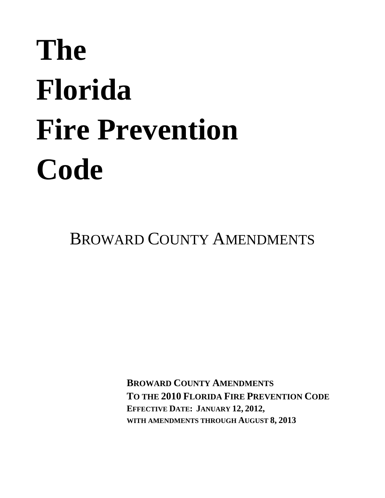# **The Florida Fire Prevention Code**

BROWARD COUNTY AMENDMENTS

**BROWARD COUNTY AMENDMENTS TO THE 2010 FLORIDA FIRE PREVENTION CODE EFFECTIVE DATE: JANUARY 12, 2012, WITH AMENDMENTS THROUGH AUGUST 8, 2013**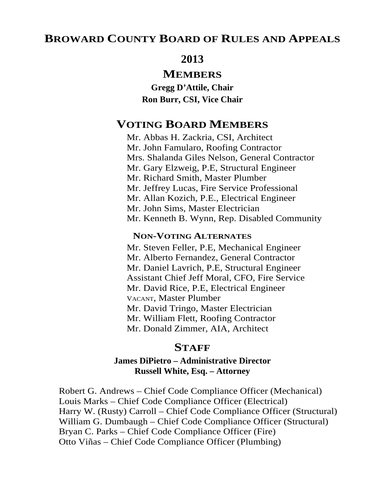## **BROWARD COUNTY BOARD OF RULES AND APPEALS**

## **2013**

## **MEMBERS**

**Gregg D'Attile, Chair Ron Burr, CSI, Vice Chair** 

# **VOTING BOARD MEMBERS**

Mr. Abbas H. Zackria, CSI, Architect Mr. John Famularo, Roofing Contractor Mrs. Shalanda Giles Nelson, General Contractor Mr. Gary Elzweig, P.E, Structural Engineer Mr. Richard Smith, Master Plumber Mr. Jeffrey Lucas, Fire Service Professional Mr. Allan Kozich, P.E., Electrical Engineer Mr. John Sims, Master Electrician Mr. Kenneth B. Wynn, Rep. Disabled Community

### **NON-VOTING ALTERNATES**

Mr. Steven Feller, P.E, Mechanical Engineer Mr. Alberto Fernandez, General Contractor Mr. Daniel Lavrich, P.E, Structural Engineer Assistant Chief Jeff Moral, CFO, Fire Service Mr. David Rice, P.E, Electrical Engineer VACANT, Master Plumber Mr. David Tringo, Master Electrician Mr. William Flett, Roofing Contractor Mr. Donald Zimmer, AIA, Architect

## **STAFF**

## **James DiPietro – Administrative Director Russell White, Esq. – Attorney**

Robert G. Andrews – Chief Code Compliance Officer (Mechanical) Louis Marks – Chief Code Compliance Officer (Electrical) Harry W. (Rusty) Carroll – Chief Code Compliance Officer (Structural) William G. Dumbaugh – Chief Code Compliance Officer (Structural) Bryan C. Parks – Chief Code Compliance Officer (Fire) Otto Viñas – Chief Code Compliance Officer (Plumbing)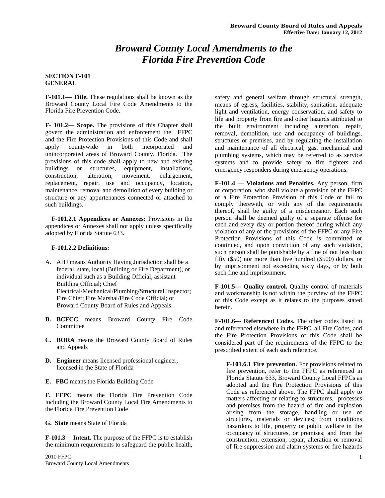## *Broward County Local Amendments to the Florida Fire Prevention Code*

#### **SECTION F-101 GENERAL**

**F-101.1**— **Title.** These regulations shall be known as the Broward County Local Fire Code Amendments to the Florida Fire Prevention Code.

**F- 101.2— Scope.** The provisions of this Chapter shall govern the administration and enforcement theFFPC and the Fire Protection Provisions of this Code and shall apply countywide in both incorporated and unincorporated areas of Broward County, Florida. The provisions of this code shall apply to new and existing buildings or structures, equipment, installations, construction, alteration, movement, enlargement, replacement, repair, use and occupancy, location, maintenance, removal and demolition of every building or structure or any appurtenances connected or attached to such buildings.

 **F-101.2.1 Appendices or Annexes:** Provisions in the appendices or Annexes shall not apply unless specifically adopted by Florida Statute 633.

#### **F-101.2.2 Definitions:**

A. AHJ means Authority Having Jurisdiction shall be a federal, state, local (Building or Fire Department), or individual such as a Building Official, assistant Building Official; Chief Electrical/Mechanical/Plumbing/Structural Inspector; Fire Chief; Fire Marshal/Fire Code Official; or Broward County Board of Rules and Appeals.

- **B. BCFCC** means Broward County Fire Code Committee
- **C. BORA** means the Broward County Board of Rules and Appeals
- **D. Engineer** means licensed professional engineer, licensed in the State of Florida
- **E. FBC** means the Florida Building Code

**F. FFPC** means the Florida Fire Prevention Code including the Broward County Local Fire Amendments to the Florida Fire Prevention Code

**G. State** means State of Florida

**F-101.3** —**Intent.** The purpose of the FFPC is to establish the minimum requirements to safeguard the public health,

safety and general welfare through structural strength, means of egress, facilities, stability, sanitation, adequate light and ventilation, energy conservation, and safety to life and property from fire and other hazards attributed to the built environment including alteration, repair, removal, demolition, use and occupancy of buildings, structures or premises, and by regulating the installation and maintenance of all electrical, gas, mechanical and plumbing systems, which may be referred to as service systems and to provide safety to fire fighters and emergency responders during emergency operations.

**F-101.4 — Violations and Penalties.** Any person, firm or corporation, who shall violate a provision of the FFPC or a Fire Protection Provision of this Code or fail to comply therewith, or with any of the requirements thereof, shall be guilty of a misdemeanor. Each such person shall be deemed guilty of a separate offense for each and every day or portion thereof during which any violation of any of the provisions of the FFPC or any Fire Protection Provisions of this Code is committed or continued, and upon conviction of any such violation, such person shall be punishable by a fine of not less than fifty (\$50) nor more than five hundred (\$500) dollars, or by imprisonment not exceeding sixty days, or by both such fine and imprisonment.

**F-101.5--- Quality control.** Quality control of materials and workmanship is not within the purview of the FFPC or this Code except as it relates to the purposes stated herein.

**F-101.6--- Referenced Codes.** The other codes listed in and referenced elsewhere in the FFPC, all Fire Codes, and the Fire Protection Provisions of this Code shall be considered part of the requirements of the FFPC to the prescribed extent of each such reference.

**F-101.6.1 Fire prevention.** For provisions related to fire prevention, refer to the FFPC as referenced in Florida Statute 633, Broward County Local FFPCs as adopted and the Fire Protection Provisions of this Code as referenced above. The FFPC shall apply to matters affecting or relating to structures, processes and premises from the hazard of fire and explosion arising from the storage, handling or use of structures, materials or devices; from conditions hazardous to life, property or public welfare in the occupancy of structures, or premises; and from the construction, extension, repair, alteration or removal of fire suppression and alarm systems or fire hazards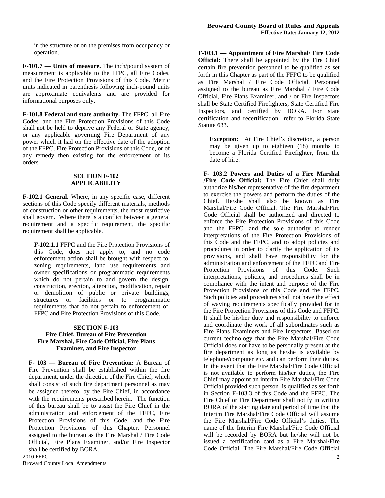in the structure or on the premises from occupancy or operation.

**F-101.7** — **Units of measure.** The inch/pound system of measurement is applicable to the FFPC, all Fire Codes, and the Fire Protection Provisions of this Code. Metric units indicated in parenthesis following inch-pound units are approximate equivalents and are provided for informational purposes only.

**F-101.8 Federal and state authority.** The FFPC, all Fire Codes, and the Fire Protection Provisions of this Code shall not be held to deprive any Federal or State agency, or any applicable governing Fire Department of any power which it had on the effective date of the adoption of the FFPC, Fire Protection Provisions of this Code, or of any remedy then existing for the enforcement of its orders.

#### **SECTION F-102 APPLICABILITY**

**F-102.1 General.** Where, in any specific case, different sections of this Code specify different materials, methods of construction or other requirements, the most restrictive shall govern. Where there is a conflict between a general requirement and a specific requirement, the specific requirement shall be applicable.

**F-102.1.1** FFPC and the Fire Protection Provisions of this Code, does not apply to, and no code enforcement action shall be brought with respect to, zoning requirements, land use requirements and owner specifications or programmatic requirements which do not pertain to and govern the design, construction, erection, alteration, modification, repair or demolition of public or private buildings, structures or facilities or to programmatic requirements that do not pertain to enforcement of, FFPC and Fire Protection Provisions of this Code.

#### **SECTION F-103 Fire Chief, Bureau of Fire Prevention Fire Marshal, Fire Code Official, Fire Plans Examiner, and Fire Inspector**

**F- 103 — Bureau of Fire Prevention:** A Bureau of Fire Prevention shall be established within the fire department, under the direction of the Fire Chief, which shall consist of such fire department personnel as may be assigned thereto, by the Fire Chief, in accordance with the requirements prescribed herein. The function of this bureau shall be to assist the Fire Chief in the administration and enforcement of the FFPC, Fire Protection Provisions of this Code, and the Fire Protection Provisions of this Chapter. Personnel assigned to the bureau as the Fire Marshal / Fire Code Official, Fire Plans Examiner, and/or Fire Inspector shall be certified by BORA.

**F 103.1 — Appointmen**t o**f Fire Marshal/ Fire Code Official:** There shall be appointed by the Fire Chief certain fire prevention personnel to be qualified as set forth in this Chapter as part of the FFPC to be qualified as Fire Marshal / Fire Code Official. Personnel assigned to the bureau as Fire Marshal / Fire Code Official, Fire Plans Examiner, and / or Fire Inspectors shall be State Certified Firefighters, State Certified Fire Inspectors, and certified by BORA. For state certification and recertification refer to Florida State Statute 633.

**Exception:** At Fire Chief's discretion, a person may be given up to eighteen (18) months to become a Florida Certified Firefighter, from the date of hire.

**F- 103.2 Powers and Duties of a Fire Marshal /Fire Code Official:** The Fire Chief shall duly authorize his/her representative of the fire department to exercise the powers and perform the duties of the Chief. He/she shall also be known as Fire Marshal/Fire Code Official. The Fire Marshal/Fire Code Official shall be authorized and directed to enforce the Fire Protection Provisions of this Code and the FFPC, and the sole authority to render interpretations of the Fire Protection Provisions of this Code and the FFPC, and to adopt policies and procedures in order to clarify the application of its provisions, and shall have responsibility for the administration and enforcement of the FFPC and Fire Protection Provisions of this Code. Such interpretations, policies, and procedures shall be in compliance with the intent and purpose of the Fire Protection Provisions of this Code and the FFPC. Such policies and procedures shall not have the effect of waving requirements specifically provided for in the Fire Protection Provisions of this Code and FFPC. It shall be his/her duty and responsibility to enforce and coordinate the work of all subordinates such as Fire Plans Examiners and Fire Inspectors. Based on current technology that the Fire Marshal/Fire Code Official does not have to be personally present at the fire department as long as he/she is available by telephone/computer etc. and can perform their duties. In the event that the Fire Marshal/Fire Code Official is not available to perform his/her duties, the Fire Chief may appoint an interim Fire Marshal/Fire Code Official provided such person is qualified as set forth in Section F-103.3 of this Code and the FFPC. The Fire Chief or Fire Department shall notify in writing BORA of the starting date and period of time that the Interim Fire Marshal/Fire Code Official will assume the Fire Marshal/Fire Code Official's duties. The name of the Interim Fire Marshal/Fire Code Official will be recorded by BORA but he/she will not be issued a certification card as a Fire Marshal/Fire Code Official. The Fire Marshal/Fire Code Official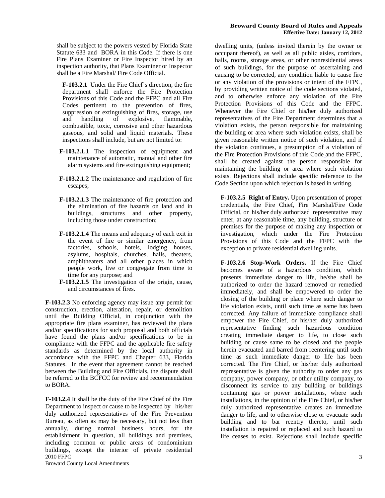shall be subject to the powers vested by Florida State Statute 633 and BORA in this Code. If there is one Fire Plans Examiner or Fire Inspector hired by an inspection authority, that Plans Examiner or Inspector shall be a Fire Marshal/ Fire Code Official.

**F-103.2.1** Under the Fire Chief's direction, the fire department shall enforce the Fire Protection Provisions of this Code and the FFPC and all Fire Codes pertinent to the prevention of fires, suppression or extinguishing of fires, storage, use<br>and handling of explosive, flammable, of explosive, flammable, combustible, toxic, corrosive and other hazardous gaseous, and solid and liquid materials. These inspections shall include, but are not limited to:

- **F-103.2.1.1** The inspection of equipment and maintenance of automatic, manual and other fire alarm systems and fire extinguishing equipment;
- **F-103.2.1.2** The maintenance and regulation of fire escapes;
- **F-103.2.1.3** The maintenance of fire protection and the elimination of fire hazards on land and in buildings, structures and other property, including those under construction;
- **F-103.2.1.4** The means and adequacy of each exit in the event of fire or similar emergency, from factories, schools, hotels, lodging houses, asylums, hospitals, churches, halls, theaters, amphitheaters and all other places in which people work, live or congregate from time to time for any purpose; and
- **F-103.2.1.5** The investigation of the origin, cause, and circumstances of fires.

**F-103.2.3** No enforcing agency may issue any permit for construction, erection, alteration, repair, or demolition until the Building Official, in conjunction with the appropriate fire plans examiner, has reviewed the plans and/or specifications for such proposal and both officials have found the plans and/or specifications to be in compliance with the FFPC and the applicable fire safety standards as determined by the local authority in accordance with the FFPC and Chapter 633, Florida Statutes. In the event that agreement cannot be reached between the Building and Fire Officials, the dispute shall be referred to the BCFCC for review and recommendation to BORA.

2010 FFPC **F-103.2.4** It shall be the duty of the Fire Chief of the Fire Department to inspect or cause to be inspected by his/her duly authorized representatives of the Fire Prevention Bureau, as often as may be necessary, but not less than annually, during normal business hours, for the establishment in question, all buildings and premises, including common or public areas of condominium buildings, except the interior of private residential

Broward County Local Amendments

#### **Broward County Board of Rules and Appeals Effective Date: January 12, 2012**

dwelling units, (unless invited therein by the owner or occupant thereof), as well as all public aisles, corridors, halls, rooms, storage areas, or other nonresidential areas of such buildings, for the purpose of ascertaining and causing to be corrected, any condition liable to cause fire or any violation of the provisions or intent of the FFPC, by providing written notice of the code sections violated, and to otherwise enforce any violation of the Fire Protection Provisions of this Code and the FFPC. Whenever the Fire Chief or his/her duly authorized representatives of the Fire Department determines that a violation exists, the person responsible for maintaining the building or area where such violation exists, shall be given reasonable written notice of such violation, and if the violation continues, a presumption of a violation of the Fire Protection Provisions of this Code and the FFPC, shall be created against the person responsible for maintaining the building or area where such violation exists. Rejections shall include specific reference to the Code Section upon which rejection is based in writing.

**F-103.2.5 Right of Entry.** Upon presentation of proper credentials, the Fire Chief, Fire Marshal/Fire Code Official, or his/her duly authorized representative may enter, at any reasonable time, any building, structure or premises for the purpose of making any inspection or investigation, which under the Fire Protection Provisions of this Code and the FFPC with the exception to private residential dwelling units.

**F-103.2.6 Stop-Work Orders.** If the Fire Chief becomes aware of a hazardous condition, which presents immediate danger to life, he/she shall be authorized to order the hazard removed or remedied immediately, and shall be empowered to order the closing of the building or place where such danger to life violation exists, until such time as same has been corrected. Any failure of immediate compliance shall empower the Fire Chief, or his/her duly authorized representative finding such hazardous condition creating immediate danger to life, to close such building or cause same to be closed and the people herein evacuated and barred from reentering until such time as such immediate danger to life has been corrected. The Fire Chief, or his/her duly authorized representative is given the authority to order any gas company, power company, or other utility company, to disconnect its service to any building or buildings containing gas or power installations, where such installations, in the opinion of the Fire Chief, or his/her duly authorized representative creates an immediate danger to life, and to otherwise close or evacuate such building and to bar reentry thereto, until such installation is repaired or replaced and such hazard to life ceases to exist. Rejections shall include specific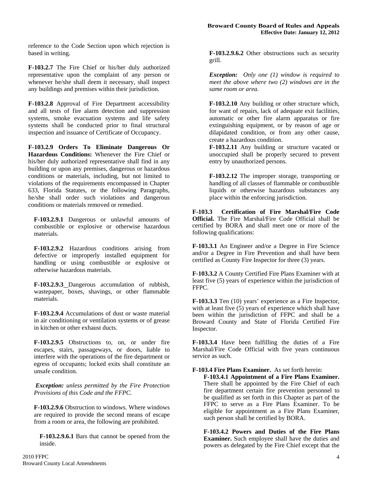reference to the Code Section upon which rejection is based in writing.

**F-103.2.7** The Fire Chief or his/her duly authorized representative upon the complaint of any person or whenever he/she shall deem it necessary, shall inspect any buildings and premises within their jurisdiction.

**F-103.2.8** Approval of Fire Department accessibility and all tests of fire alarm detection and suppression systems, smoke evacuation systems and life safety systems shall be conducted prior to final structural inspection and issuance of Certificate of Occupancy.

**F-103.2.9 Orders To Eliminate Dangerous Or Hazardous Conditions:** Whenever the Fire Chief or his/her duly authorized representative shall find in any building or upon any premises, dangerous or hazardous conditions or materials, including, but not limited to violations of the requirements encompassed in Chapter 633, Florida Statutes, or the following Paragraphs, he/she shall order such violations and dangerous conditions or materials removed or remedied.

**F-103.2.9.1** Dangerous or unlawful amounts of combustible or explosive or otherwise hazardous materials.

**F-103.2.9.2** Hazardous conditions arising from defective or improperly installed equipment for handling or using combustible or explosive or otherwise hazardous materials.

**F-103.2.9.3** Dangerous accumulation of rubbish, wastepaper, boxes, shavings, or other flammable materials.

**F-103.2.9.4** Accumulations of dust or waste material in air conditioning or ventilation systems or of grease in kitchen or other exhaust ducts.

**F-103.2.9.5** Obstructions to, on, or under fire escapes, stairs, passageways, or doors, liable to interfere with the operations of the fire department or egress of occupants; locked exits shall constitute an unsafe condition.

*Exception: unless permitted by the Fire Protection Provisions of this Code and the FFPC.* 

**F-103.2.9.6** Obstruction to windows. Where windows are required to provide the second means of escape from a room or area, the following are prohibited.

**F-103.2.9.6.1** Bars that cannot be opened from the inside.

**F-103.2.9.6.2** Other obstructions such as security grill.

*Exception: Only one (1) window is required to meet the above where two (2) windows are in the same room or area.* 

**F-103.2.10** Any building or other structure which, for want of repairs, lack of adequate exit facilities, automatic or other fire alarm apparatus or fire extinguishing equipment, or by reason of age or dilapidated condition, or from any other cause, create a hazardous condition.

**F-103.2.11** Any building or structure vacated or unoccupied shall be properly secured to prevent entry by unauthorized persons.

**F-103.2.12** The improper storage, transporting or handling of all classes of flammable or combustible liquids or otherwise hazardous substances any place within the enforcing jurisdiction.

**F-103.3 Certification of Fire Marshal/Fire Code Official.** The Fire Marshal/Fire Code Official shall be certified by BORA and shall meet one or more of the following qualifications:

**F-103.3.1** An Engineer and/or a Degree in Fire Science and/or a Degree in Fire Prevention and shall have been certified as County Fire Inspector for three (3) years.

**F-103.3.2** A County Certified Fire Plans Examiner with at least five (5) years of experience within the jurisdiction of FFPC.

**F-103.3.3** Ten (10) years' experience as a Fire Inspector, with at least five (5) years of experience which shall have been within the jurisdiction of FFPC and shall be a Broward County and State of Florida Certified Fire Inspector.

**F-103.3.4** Have been fulfilling the duties of a Fire Marshal/Fire Code Official with five years continuous service as such.

**F-103.4 Fire Plans Examiner.** As set forth herein:

**F-103.4.1 Appointment of a Fire Plans Examiner.**  There shall be appointed by the Fire Chief of each fire department certain fire prevention personnel to be qualified as set forth in this Chapter as part of the FFPC to serve as a Fire Plans Examiner. To be eligible for appointment as a Fire Plans Examiner, such person shall be certified by BORA.

**F-103.4.2 Powers and Duties of the Fire Plans Examiner.** Such employee shall have the duties and powers as delegated by the Fire Chief except that the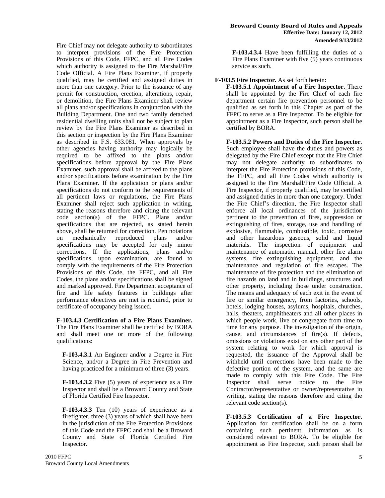Fire Chief may not delegate authority to subordinates to interpret provisions of the Fire Protection Provisions of this Code, FFPC, and all Fire Codes which authority is assigned to the Fire Marshal/Fire Code Official. A Fire Plans Examiner, if properly qualified, may be certified and assigned duties in more than one category. Prior to the issuance of any permit for construction, erection, alterations, repair, or demolition, the Fire Plans Examiner shall review all plans and/or specifications in conjunction with the Building Department. One and two family detached residential dwelling units shall not be subject to plan review by the Fire Plans Examiner as described in this section or inspection by the Fire Plans Examiner as described in F.S. 633.081. When approvals by other agencies having authority may logically be required to be affixed to the plans and/or specifications before approval by the Fire Plans Examiner, such approval shall be affixed to the plans and/or specifications before examination by the Fire Plans Examiner. If the application or plans and/or specifications do not conform to the requirements of all pertinent laws or regulations, the Fire Plans Examiner shall reject such application in writing, stating the reasons therefore and citing the relevant code section(s) of the FFPC. Plans and/or specifications that are rejected, as stated herein above, shall be returned for correction. Pen notations<br>on mechanically reproduced plans and/or on mechanically reproduced specifications may be accepted for only minor corrections. If the applications, plans and/or specifications, upon examination, are found to comply with the requirements of the Fire Protection Provisions of this Code, the FFPC, and all Fire Codes, the plans and/or specifications shall be signed and marked approved. Fire Department acceptance of fire and life safety features in buildings after performance objectives are met is required, prior to certificate of occupancy being issued.

**F-103.4.3 Certification of a Fire Plans Examiner.** The Fire Plans Examiner shall be certified by BORA and shall meet one or more of the following qualifications:

**F-103.4.3.1** An Engineer and/or a Degree in Fire Science, and/or a Degree in Fire Prevention and having practiced for a minimum of three (3) years.

**F-103.4.3.2** Five (5) years of experience as a Fire Inspector and shall be a Broward County and State of Florida Certified Fire Inspector.

**F-103.4.3.3** Ten (10) years of experience as a firefighter, three (3) years of which shall have been in the jurisdiction of the Fire Protection Provisions of this Code and the FFPC and shall be a Broward County and State of Florida Certified Fire Inspector.

**F-103.4.3.4** Have been fulfilling the duties of a Fire Plans Examiner with five (5) years continuous service as such.

#### **F-103.5 Fire Inspector.** As set forth herein:

**F-103.5.1 Appointment of a Fire Inspector.** There shall be appointed by the Fire Chief of each fire department certain fire prevention personnel to be qualified as set forth in this Chapter as part of the FFPC to serve as a Fire Inspector. To be eligible for appointment as a Fire Inspector, such person shall be certified by BORA.

**F-103.5.2 Powers and Duties of the Fire Inspector.**  Such employee shall have the duties and powers as delegated by the Fire Chief except that the Fire Chief may not delegate authority to subordinates to interpret the Fire Protection provisions of this Code, the FFPC, and all Fire Codes which authority is assigned to the Fire Marshall/Fire Code Official. A Fire Inspector, if properly qualified, may be certified and assigned duties in more than one category. Under the Fire Chief's direction, the Fire Inspector shall enforce all local ordinances of the jurisdiction pertinent to the prevention of fires, suppression or extinguishing of fires, storage, use and handling of explosive, flammable, combustible, toxic, corrosive and other hazardous gaseous, solid and liquid materials. The inspection of equipment and maintenance of automatic, manual, other fire alarm systems, fire extinguishing equipment, and the maintenance and regulation of fire escapes. The maintenance of fire protection and the elimination of fire hazards on land and in buildings, structures and other property, including those under construction. The means and adequacy of each exit in the event of fire or similar emergency, from factories, schools, hotels, lodging houses, asylums, hospitals, churches, halls, theaters, amphitheaters and all other places in which people work, live or congregate from time to time for any purpose. The investigation of the origin, cause, and circumstances of fire(s). If defects, omissions or violations exist on any other part of the system relating to work for which approval is requested, the issuance of the Approval shall be withheld until corrections have been made to the defective portion of the system, and the same are made to comply with this Fire Code. The Fire Inspector shall serve notice to the Fire Contractor/representative or owner/representative in writing, stating the reasons therefore and citing the relevant code section(s).

**F-103.5.3 Certification of a Fire Inspector.** Application for certification shall be on a form containing such pertinent information as is considered relevant to BORA. To be eligible for appointment as Fire Inspector, such person shall be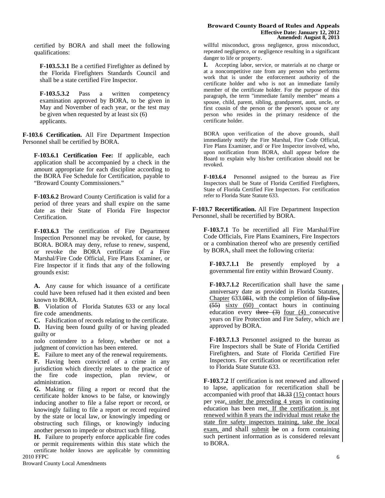certified by BORA and shall meet the following qualifications:

**F-103.5.3.1** Be a certified Firefighter as defined by the Florida Firefighters Standards Council and shall be a state certified Fire Inspector.

**F-103.5.3.2** Pass a written competency examination approved by BORA, to be given in May and November of each year, or the test may be given when requested by at least six (6) applicants.

**F-103.6 Certification.** All Fire Department Inspection Personnel shall be certified by BORA.

**F-103.6.1 Certification Fee:** If applicable, each application shall be accompanied by a check in the amount appropriate for each discipline according to the BORA Fee Schedule for Certification, payable to "Broward County Commissioners."

**F-103.6.2** Broward County Certification is valid for a period of three years and shall expire on the same date as their State of Florida Fire Inspector Certification.

**F-103.6.3** The certification of Fire Department Inspection Personnel may be revoked, for cause, by BORA. BORA may deny, refuse to renew, suspend, or revoke the BORA certificate of a Fire Marshal/Fire Code Official, Fire Plans Examiner, or Fire Inspector if it finds that any of the following grounds exist:

**A.** Any cause for which issuance of a certificate could have been refused had it then existed and been known to BORA.

**B**. Violation of Florida Statutes 633 or any local fire code amendments.

**C.** Falsification of records relating to the certificate. **D.** Having been found guilty of or having pleaded guilty or

nolo contendere to a felony, whether or not a judgment of conviction has been entered.

**E.** Failure to meet any of the renewal requirements.

**F.** Having been convicted of a crime in any jurisdiction which directly relates to the practice of the fire code inspection, plan review, or administration.

**G.** Making or filing a report or record that the certificate holder knows to be false, or knowingly inducing another to file a false report or record, or knowingly failing to file a report or record required by the state or local law, or knowingly impeding or obstructing such filings, or knowingly inducing another person to impede or obstruct such filing.

**H.** Failure to properly enforce applicable fire codes

2010 FFPC or permit requirements within this state which the certificate holder knows are applicable by committing

#### **Broward County Board of Rules and Appeals Effective Date: January 12, 2012 Amended: August 8, 2013**

willful misconduct, gross negligence, gross misconduct, repeated negligence, or negligence resulting in a significant danger to life or property.

**I.** Accepting labor, service, or materials at no charge or at a noncompetitive rate from any person who performs work that is under the enforcement authority of the certificate holder and who is not an immediate family member of the certificate holder. For the purpose of this paragraph, the term "immediate family member" means a spouse, child, parent, sibling, grandparent, aunt, uncle, or first cousin of the person or the person's spouse or any person who resides in the primary residence of the certificate holder.

BORA upon verification of the above grounds, shall immediately notify the Fire Marshal, Fire Code Official, Fire Plans Examiner, and/ or Fire Inspector involved, who, upon notification from BORA, shall appear before the Board to explain why his/her certification should not be revoked.

**F-103.6.4** Personnel assigned to the bureau as Fire Inspectors shall be State of Florida Certified Firefighters, State of Florida Certified Fire Inspectors. For certification refer to Florida State Statute 633.

**F-103.7 Recertification.** All Fire Department Inspection Personnel, shall be recertified by BORA.

**F-103.7.1** To be recertified all Fire Marshal/Fire Code Officials, Fire Plans Examiners, Fire Inspectors or a combination thereof who are presently certified by BORA, shall meet the following criteria:

**F-103.7.1.1** Be presently employed by a governmental fire entity within Broward County.

**F-103.7.1.2** Recertification shall have the same anniversary date as provided in Florida Statutes, Chapter 633.081, with the completion of fifty-five (55) sixty (60) contact hours in continuing education every  $three \text{ (3)}$  four (4) consecutive years on Fire Protection and Fire Safety, which are approved by BORA.

**F-103.7.1.3** Personnel assigned to the bureau as Fire Inspectors shall be State of Florida Certified Firefighters, and State of Florida Certified Fire Inspectors. For certification or recertification refer to Florida State Statute 633.

**F-103.7.2** If certification is not renewed and allowed to lapse, application for recertification shall be accompanied with proof that 18.33 (15) contact hours per year, under the preceding 4 years in continuing education has been met. If the certification is not renewed within 8 years the individual must retake the state fire safety inspectors training, take the local exam, and shall submit be on a form containing such pertinent information as is considered relevant to BORA.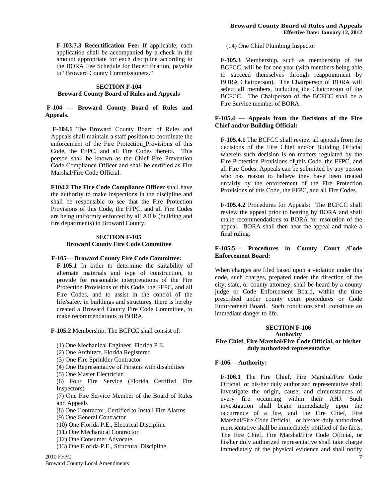**F-103.7.3 Recertification Fee:** If applicable, each application shall be accompanied by a check in the amount appropriate for each discipline according to the BORA Fee Schedule for Recertification, payable to "Broward County Commissioners."

#### **SECTION F-104 Broward County Board of Rules and Appeals**

#### **F-104 — Broward County Board of Rules and Appeals.**

 **F-104.1** The Broward County Board of Rules and Appeals shall maintain a staff position to coordinate the enforcement of the Fire Protection Provisions of this Code, the FFPC, and all Fire Codes thereto. This person shall be known as the Chief Fire Prevention Code Compliance Officer and shall be certified as Fire Marshal/Fire Code Official.

**F104.2 The Fire Code Compliance Officer** shall have the authority to make inspections in the discipline and shall be responsible to see that the Fire Protection Provisions of this Code, the FFPC, and all Fire Codes are being uniformly enforced by all AHJs (building and fire departments) in Broward County.

#### **SECTION F-105 Broward County Fire Code Committee**

#### **F-105— Broward County Fire Code Committee:**

**F-105.1** In order to determine the suitability of alternate materials and type of construction, to provide for reasonable interpretations of the Fire Protection Provisions of this Code, the FFPC, and all Fire Codes, and to assist in the control of the life/safety in buildings and structures, there is hereby created a Broward County Fire Code Committee, to make recommendations to BORA.

**F-105.2** Membership: The BCFCC shall consist of:

- (1) One Mechanical Engineer, Florida P.E.
- (2) One Architect, Florida Registered
- (3) One Fire Sprinkler Contractor
- (4) One Representative of Persons with disabilities
- (5) One Master Electrician
- (6) Four Fire Service (Florida Certified Fire Inspectors)
- (7) One Fire Service Member of the Board of Rules and Appeals
- (8) One Contractor, Certified to Install Fire Alarms
- (9) One General Contractor
- (10) One Florida P.E., Electrical Discipline
- (11) One Mechanical Contractor
- (12) One Consumer Advocate
- (13) One Florida P.E., Structural Discipline,

2010 FFPC Broward County Local Amendments (14) One Chief Plumbing Inspector

**F-105.3** Membership, such as membership of the BCFCC, will be for one year (with members being able to succeed themselves through reappointment by BORA Chairperson). The Chairperson of BORA will select all members, including the Chairperson of the BCFCC. The Chairperson of the BCFCC shall be a Fire Service member of BORA.

#### **F-105.4 — Appeals from the Decisions of the Fire Chief and/or Building Official:**

**F-105.4.1** The BCFCC shall review all appeals from the decisions of the Fire Chief and/or Building Official wherein such decision is on matters regulated by the Fire Protection Provisions of this Code, the FFPC, and all Fire Codes. Appeals can be submitted by any person who has reason to believe they have been treated unfairly by the enforcement of the Fire Protection Provisions of this Code, the FFPC, and all Fire Codes.

**F-105.4.2** Procedures for Appeals: The BCFCC shall review the appeal prior to hearing by BORA and shall make recommendations to BORA for resolution of the appeal. BORA shall then hear the appeal and make a final ruling.

#### **F-105.5— Procedures in County Court /Code Enforcement Board:**

When charges are filed based upon a violation under this code, such charges, prepared under the direction of the city, state, or county attorney, shall be heard by a county judge or Code Enforcement Board, within the time prescribed under county court procedures or Code Enforcement Board. Such conditions shall constitute an immediate danger to life.

#### **SECTION F-106 Authority Fire Chief, Fire Marshal/Fire Code Official, or his/her duly authorized representative**

#### **F-106— Authority:**

**F-106.1** The Fire Chief, Fire Marshal/Fire Code Official, or his/her duly authorized representative shall investigate the origin, cause, and circumstances of every fire occurring within their AHJ. Such investigation shall begin immediately upon the occurrence of a fire, and the Fire Chief, Fire Marshal/Fire Code Official, or his/her duly authorized representative shall be immediately notified of the facts. The Fire Chief, Fire Marshal/Fire Code Official, or his/her duly authorized representative shall take charge immediately of the physical evidence and shall notify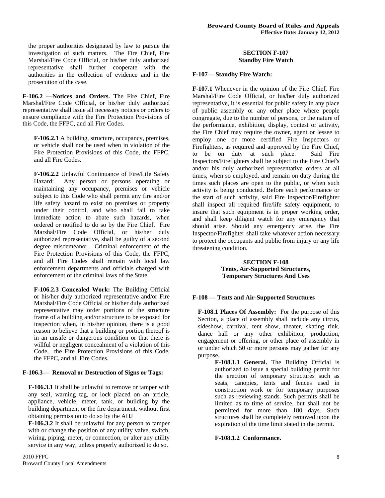the proper authorities designated by law to pursue the investigation of such matters. The Fire Chief, Fire Marshal/Fire Code Official, or his/her duly authorized representative shall further cooperate with the authorities in the collection of evidence and in the prosecution of the case.

**F-106.2 —Notices and Orders. T**he Fire Chief, Fire Marshal/Fire Code Official, or his/her duly authorized representative shall issue all necessary notices or orders to ensure compliance with the Fire Protection Provisions of this Code, the FFPC, and all Fire Codes.

**F-106.2.1** A building, structure, occupancy, premises, or vehicle shall not be used when in violation of the Fire Protection Provisions of this Code, the FFPC, and all Fire Codes.

**F-106.2.2** Unlawful Continuance of Fire/Life Safety Hazard: Any person or persons operating or maintaining any occupancy, premises or vehicle subject to this Code who shall permit any fire and/or life safety hazard to exist on premises or property under their control, and who shall fail to take immediate action to abate such hazards, when ordered or notified to do so by the Fire Chief, Fire Marshal/Fire Code Official, or his/her duly authorized representative, shall be guilty of a second degree misdemeanor. Criminal enforcement of the Fire Protection Provisions of this Code, the FFPC, and all Fire Codes shall remain with local law enforcement departments and officials charged with enforcement of the criminal laws of the State.

**F-106.2.3 Concealed Work:** The Building Official or his/her duly authorized representative and/or Fire Marshal/Fire Code Official or his/her duly authorized representative may order portions of the structure frame of a building and/or structure to be exposed for inspection when, in his/her opinion, there is a good reason to believe that a building or portion thereof is in an unsafe or dangerous condition or that there is willful or negligent concealment of a violation of this Code, the Fire Protection Provisions of this Code, the FFPC, and all Fire Codes.

#### **F-106.3— Removal or Destruction of Signs or Tags:**

**F-106.3.1** It shall be unlawful to remove or tamper with any seal, warning tag, or lock placed on an article, appliance, vehicle, meter, tank, or building by the building department or the fire department, without first obtaining permission to do so by the AHJ

**F-106.3.2** It shall be unlawful for any person to tamper with or change the position of any utility valve, switch, wiring, piping, meter, or connection, or alter any utility service in any way, unless properly authorized to do so.

#### **SECTION F-107 Standby Fire Watch**

#### **F-107— Standby Fire Watch:**

**F-107.1** Whenever in the opinion of the Fire Chief, Fire Marshal/Fire Code Official, or his/her duly authorized representative, it is essential for public safety in any place of public assembly or any other place where people congregate, due to the number of persons, or the nature of the performance, exhibition, display, contest or activity, the Fire Chief may require the owner, agent or lessee to employ one or more certified Fire Inspectors or Firefighters, as required and approved by the Fire Chief, to be on duty at such place. Said Fire Inspectors/Firefighters shall be subject to the Fire Chief's and/or his duly authorized representative orders at all times, when so employed, and remain on duty during the times such places are open to the public, or when such activity is being conducted. Before each performance or the start of such activity, said Fire Inspector/Firefighter shall inspect all required fire/life safety equipment, to insure that such equipment is in proper working order, and shall keep diligent watch for any emergency that should arise. Should any emergency arise, the Fire Inspector/Firefighter shall take whatever action necessary to protect the occupants and public from injury or any life threatening condition.

#### **SECTION F-108 Tents, Air-Supported Structures, Temporary Structures And Uses**

#### **F-108 — Tents and Air-Supported Structures**

**F-108.1 Places Of Assembly:** For the purpose of this Section, a place of assembly shall include any circus, sideshow, carnival, tent show, theater, skating rink, dance hall or any other exhibition, production, engagement or offering, or other place of assembly in or under which 50 or more persons may gather for any purpose.

**F-108.1.1 General.** The Building Official is authorized to issue a special building permit for the erection of temporary structures such as seats, canopies, tents and fences used in construction work or for temporary purposes such as reviewing stands. Such permits shall be limited as to time of service, but shall not be permitted for more than 180 days. Such structures shall be completely removed upon the expiration of the time limit stated in the permit.

#### **F-108.1.2 Conformance.**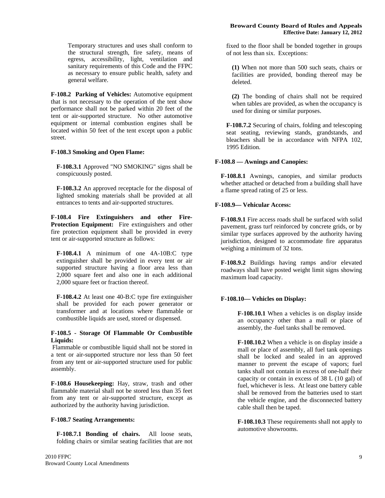Temporary structures and uses shall conform to the structural strength, fire safety, means of egress, accessibility, light, ventilation and sanitary requirements of this Code and the FFPC as necessary to ensure public health, safety and general welfare.

**F-108.2 Parking of Vehicles:** Automotive equipment that is not necessary to the operation of the tent show performance shall not be parked within 20 feet of the tent or air-supported structure. No other automotive equipment or internal combustion engines shall be located within 50 feet of the tent except upon a public street.

#### **F-108.3 Smoking and Open Flame:**

**F-108.3.1** Approved "NO SMOKING" signs shall be conspicuously posted.

**F-108.3.2** An approved receptacle for the disposal of lighted smoking materials shall be provided at all entrances to tents and air-supported structures.

**F-108.4 Fire Extinguishers and other Fire-Protection Equipment:** Fire extinguishers and other fire protection equipment shall be provided in every tent or air-supported structure as follows:

**F-108.4.1** A minimum of one 4A-10B:C type extinguisher shall be provided in every tent or air supported structure having a floor area less than 2,000 square feet and also one in each additional 2,000 square feet or fraction thereof.

**F-108.4.2** At least one 40-B:C type fire extinguisher shall be provided for each power generator or transformer and at locations where flammable or combustible liquids are used, stored or dispensed.

#### **F-108.5 - Storage Of Flammable Or Combustible Liquids:**

Flammable or combustible liquid shall not be stored in a tent or air-supported structure nor less than 50 feet from any tent or air-supported structure used for public assembly.

**F-108.6 Housekeeping:** Hay, straw, trash and other flammable material shall not be stored less than 35 feet from any tent or air-supported structure, except as authorized by the authority having jurisdiction.

#### **F-108.7 Seating Arrangements:**

**F-108.7.1 Bonding of chairs.** All loose seats, folding chairs or similar seating facilities that are not fixed to the floor shall be bonded together in groups of not less than six. Exceptions:

**(1)** When not more than 500 such seats, chairs or facilities are provided, bonding thereof may be deleted.

**(2)** The bonding of chairs shall not be required when tables are provided, as when the occupancy is used for dining or similar purposes.

**F-108.7.2** Securing of chairs, folding and telescoping seat seating, reviewing stands, grandstands, and bleachers shall be in accordance with NFPA 102, 1995 Edition.

#### **F-108.8 — Awnings and Canopies:**

**F-108.8.1** Awnings, canopies, and similar products whether attached or detached from a building shall have a flame spread rating of 25 or less.

#### **F-108.9— Vehicular Access:**

**F-108.9.1** Fire access roads shall be surfaced with solid pavement, grass turf reinforced by concrete grids, or by similar type surfaces approved by the authority having jurisdiction, designed to accommodate fire apparatus weighing a minimum of 32 tons.

**F-108.9.2** Buildings having ramps and/or elevated roadways shall have posted weight limit signs showing maximum load capacity.

#### **F-108.10— Vehicles on Display:**

**F-108.10.1** When a vehicles is on display inside an occupancy other than a mall or place of assembly, the fuel tanks shall be removed.

**F-108.10.2** When a vehicle is on display inside a mall or place of assembly, all fuel tank openings shall be locked and sealed in an approved manner to prevent the escape of vapors; fuel tanks shall not contain in excess of one-half their capacity or contain in excess of 38 L (10 gal) of fuel, whichever is less. At least one battery cable shall be removed from the batteries used to start the vehicle engine, and the disconnected battery cable shall then be taped.

**F-108.10.3** These requirements shall not apply to automotive showrooms.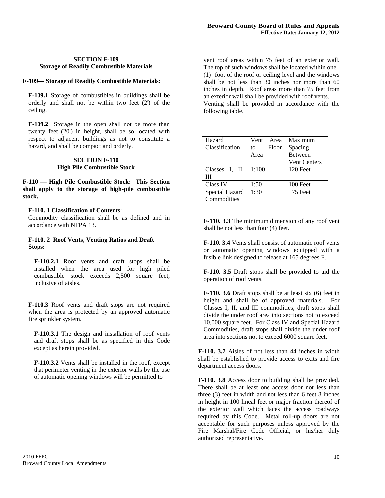#### **SECTION F-109 Storage of Readily Combustible Materials**

#### **F-109— Storage of Readily Combustible Materials:**

**F-109.1** Storage of combustibles in buildings shall be orderly and shall not be within two feet (2') of the ceiling.

**F-109.2** Storage in the open shall not be more than twenty feet (20') in height, shall be so located with respect to adjacent buildings as not to constitute a hazard, and shall be compact and orderly.

#### **SECTION F-110 High Pile Combustible Stock**

**F-110 — High Pile Combustible Stock: This Section shall apply to the storage of high-pile combustible stock.** 

#### **F-110. 1 Classification of Contents**:

Commodity classification shall be as defined and in accordance with NFPA 13.

#### **F-110. 2 Roof Vents, Venting Ratios and Draft Stops:**

**F-110.2.1** Roof vents and draft stops shall be installed when the area used for high piled combustible stock exceeds 2,500 square feet, inclusive of aisles.

**F-110.3** Roof vents and draft stops are not required when the area is protected by an approved automatic fire sprinkler system.

**F-110.3.1** The design and installation of roof vents and draft stops shall be as specified in this Code except as herein provided.

**F-110.3.2** Vents shall be installed in the roof, except that perimeter venting in the exterior walls by the use of automatic opening windows will be permitted to

vent roof areas within 75 feet of an exterior wall. The top of such windows shall be located within one (1) foot of the roof or ceiling level and the windows shall be not less than 30 inches nor more than 60 inches in depth. Roof areas more than 75 feet from an exterior wall shall be provided with roof vents. Venting shall be provided in accordance with the following table.

| Hazard         | Vent  | Area  | Maximum             |  |
|----------------|-------|-------|---------------------|--|
| Classification | to    | Floor | Spacing             |  |
|                | Area  |       | <b>Between</b>      |  |
|                |       |       | <b>Vent Centers</b> |  |
| Classes I, II, | 1:100 |       | 120 Feet            |  |
| Ш              |       |       |                     |  |
| Class IV       | 1:50  |       | 100 Feet            |  |
| Special Hazard | 1:30  |       | 75 Feet             |  |
| Commodities    |       |       |                     |  |

**F-110. 3.3** The minimum dimension of any roof vent shall be not less than four (4) feet.

**F-110. 3.4** Vents shall consist of automatic roof vents or automatic opening windows equipped with a fusible link designed to release at 165 degrees F.

**F-110. 3.5** Draft stops shall be provided to aid the operation of roof vents.

**F-110. 3.6** Draft stops shall be at least six (6) feet in height and shall be of approved materials. For Classes I, II, and III commodities, draft stops shall divide the under roof area into sections not to exceed 10,000 square feet. For Class IV and Special Hazard Commodities, draft stops shall divide the under roof area into sections not to exceed 6000 square feet.

**F-110. 3.7** Aisles of not less than 44 inches in width shall be established to provide access to exits and fire department access doors.

**F-110. 3.8** Access door to building shall be provided. There shall be at least one access door not less than three (3) feet in width and not less than 6 feet 8 inches in height in 100 lineal feet or major fraction thereof of the exterior wall which faces the access roadways required by this Code. Metal roll-up doors are not acceptable for such purposes unless approved by the Fire Marshal/Fire Code Official, or his/her duly authorized representative.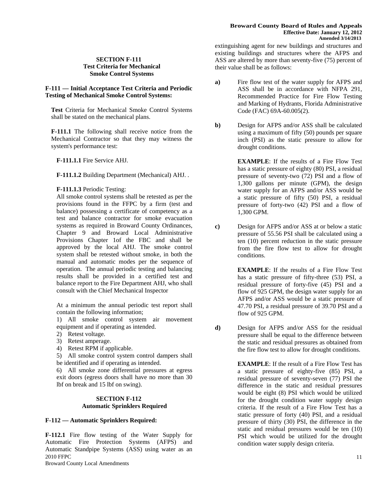#### **SECTION F-111 Test Criteria for Mechanical Smoke Control Systems**

#### **F-111 — Initial Acceptance Test Criteria and Periodic Testing of Mechanical Smoke Control Systems:**

**Test** Criteria for Mechanical Smoke Control Systems shall be stated on the mechanical plans.

**F-111.1** The following shall receive notice from the Mechanical Contractor so that they may witness the system's performance test:

**F-111.1.1** Fire Service AHJ.

**F-111.1.2** Building Department (Mechanical) AHJ. .

#### **F-111.1.3** Periodic Testing:

All smoke control systems shall be retested as per the provisions found in the FFPC by a firm (test and balance) possessing a certificate of competency as a test and balance contractor for smoke evacuation systems as required in Broward County Ordinances, Chapter 9 and Broward Local Administrative Provisions Chapter 1of the FBC and shall be approved by the local AHJ. The smoke control system shall be retested without smoke, in both the manual and automatic modes per the sequence of operation. The annual periodic testing and balancing results shall be provided in a certified test and balance report to the Fire Department AHJ, who shall consult with the Chief Mechanical Inspector

At a minimum the annual periodic test report shall contain the following information;

1) All smoke control system air movement equipment and if operating as intended.

- 2) Retest voltage.
- 3) Retest amperage.
- 4) Retest RPM if applicable.

5) All smoke control system control dampers shall be identified and if operating as intended.

6) All smoke zone differential pressures at egress exit doors (egress doors shall have no more than 30 lbf on break and 15 lbf on swing).

#### **SECTION F-112 Automatic Sprinklers Required**

#### **F-112 — Automatic Sprinklers Required:**

2010 FFPC **F-112.1** Fire flow testing of the Water Supply for Automatic Fire Protection Systems (AFPS) and Automatic Standpipe Systems (ASS) using water as an

Broward County Local Amendments

extinguishing agent for new buildings and structures and existing buildings and structures where the AFPS and ASS are altered by more than seventy-five (75) percent of their value shall be as follows:

- **a)** Fire flow test of the water supply for AFPS and ASS shall be in accordance with NFPA 291, Recommended Practice for Fire Flow Testing and Marking of Hydrants, Florida Administrative Code (FAC) 69A-60.005(2).
- **b**) Design for AFPS and/or ASS shall be calculated using a maximum of fifty (50) pounds per square inch (PSI) as the static pressure to allow for drought conditions.

**EXAMPLE**: If the results of a Fire Flow Test has a static pressure of eighty (80) PSI, a residual pressure of seventy-two (72) PSI and a flow of 1,300 gallons per minute (GPM), the design water supply for an AFPS and/or ASS would be a static pressure of fifty (50) PSI, a residual pressure of forty-two (42) PSI and a flow of 1,300 GPM.

**c)** Design for AFPS and/or ASS at or below a static pressure of 55.56 PSI shall be calculated using a ten (10) percent reduction in the static pressure from the fire flow test to allow for drought conditions.

> **EXAMPLE**: If the results of a Fire Flow Test has a static pressure of fifty-three (53) PSI, a residual pressure of forty-five (45) PSI and a flow of 925 GPM, the design water supply for an AFPS and/or ASS would be a static pressure of 47.70 PSI, a residual pressure of 39.70 PSI and a flow of 925 GPM.

**d)** Design for AFPS and/or ASS for the residual pressure shall be equal to the difference between the static and residual pressures as obtained from the fire flow test to allow for drought conditions.

> **EXAMPLE**: If the result of a Fire Flow Test has a static pressure of eighty-five (85) PSI, a residual pressure of seventy-seven (77) PSI the difference in the static and residual pressures would be eight (8) PSI which would be utilized for the drought condition water supply design criteria. If the result of a Fire Flow Test has a static pressure of forty (40) PSI, and a residual pressure of thirty (30) PSI, the difference in the static and residual pressures would be ten (10) PSI which would be utilized for the drought condition water supply design criteria.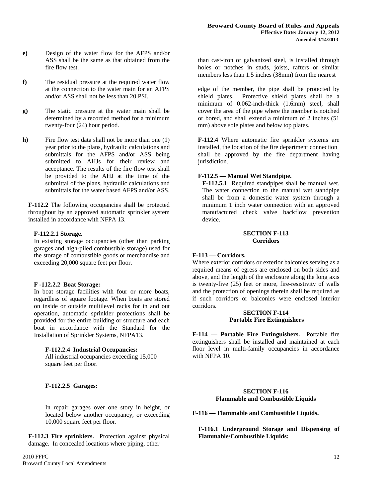- **e)** Design of the water flow for the AFPS and/or ASS shall be the same as that obtained from the fire flow test.
- **f)** The residual pressure at the required water flow at the connection to the water main for an AFPS and/or ASS shall not be less than 20 PSI.
- **g)** The static pressure at the water main shall be determined by a recorded method for a minimum twenty-four (24) hour period.
- **h)** Fire flow test data shall not be more than one (1) year prior to the plans, hydraulic calculations and submittals for the AFPS and/or ASS being submitted to AHJs for their review and acceptance. The results of the fire flow test shall be provided to the AHJ at the time of the submittal of the plans, hydraulic calculations and submittals for the water based AFPS and/or ASS.

**F-112.2** The following occupancies shall be protected throughout by an approved automatic sprinkler system installed in accordance with NFPA 13.

#### **F-112.2.1 Storage.**

In existing storage occupancies (other than parking garages and high-piled combustible storage) used for the storage of combustible goods or merchandise and exceeding 20,000 square feet per floor.

#### **F -112.2.2 Boat Storage:**

In boat storage facilities with four or more boats, regardless of square footage. When boats are stored on inside or outside multilevel racks for in and out operation, automatic sprinkler protections shall be provided for the entire building or structure and each boat in accordance with the Standard for the Installation of Sprinkler Systems, NFPA13.

#### **F-112.2.4 Industrial Occupancies:**

All industrial occupancies exceeding 15,000 square feet per floor.

#### **F-112.2.5 Garages:**

In repair garages over one story in height, or located below another occupancy, or exceeding 10,000 square feet per floor.

**F-112.3 Fire sprinklers.** Protection against physical damage. In concealed locations where piping, other

than cast-iron or galvanized steel, is installed through holes or notches in studs, joists, rafters or similar members less than 1.5 inches (38mm) from the nearest

edge of the member, the pipe shall be protected by shield plates. Protective shield plates shall be a minimum of 0.062-inch-thick (1.6mm) steel, shall cover the area of the pipe where the member is notched or bored, and shall extend a minimum of 2 inches (51 mm) above sole plates and below top plates.

**F-112.4** Where automatic fire sprinkler systems are installed, the location of the fire department connection shall be approved by the fire department having jurisdiction.

#### **F-112.5 — Manual Wet Standpipe.**

**F-112.5.1** Required standpipes shall be manual wet. The water connection to the manual wet standpipe shall be from a domestic water system through a minimum 1 inch water connection with an approved manufactured check valve backflow prevention device.

#### **SECTION F-113 Corridors**

#### **F-113 — Corridors.**

Where exterior corridors or exterior balconies serving as a required means of egress are enclosed on both sides and above, and the length of the enclosure along the long axis is twenty-five (25) feet or more, fire-resistivity of walls and the protection of openings therein shall be required as if such corridors or balconies were enclosed interior corridors.

#### **SECTION F-114 Portable Fire Extinguishers**

**F-114 — Portable Fire Extinguishers.** Portable fire extinguishers shall be installed and maintained at each floor level in multi-family occupancies in accordance with NFPA 10.

#### **SECTION F-116 Flammable and Combustible Liquids**

**F-116 — Flammable and Combustible Liquids.** 

**F-116.1 Underground Storage and Dispensing of Flammable/Combustible Liquids:**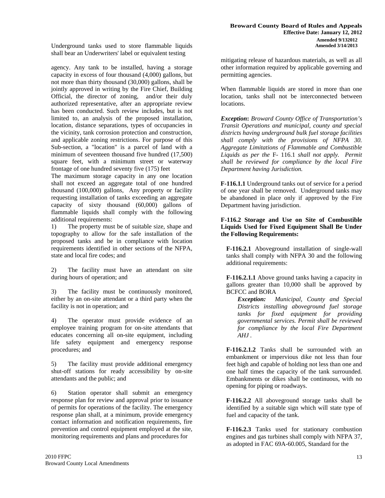Underground tanks used to store flammable liquids shall bear an Underwriters' label or equivalent testing

agency. Any tank to be installed, having a storage capacity in excess of four thousand (4,000) gallons, but not more than thirty thousand (30,000) gallons, shall be jointly approved in writing by the Fire Chief, Building Official, the director of zoning, and/or their duly authorized representative, after an appropriate review has been conducted. Such review includes, but is not limited to, an analysis of the proposed installation, location, distance separations, types of occupancies in the vicinity, tank corrosion protection and construction, and applicable zoning restrictions. For purpose of this Sub-section, a "location" is a parcel of land with a minimum of seventeen thousand five hundred (17,500) square feet, with a minimum street or waterway frontage of one hundred seventy five (175) feet

The maximum storage capacity in any one location shall not exceed an aggregate total of one hundred thousand (100,000) gallons, Any property or facility requesting installation of tanks exceeding an aggregate capacity of sixty thousand (60,000) gallons of flammable liquids shall comply with the following additional requirements:

1) The property must be of suitable size, shape and topography to allow for the safe installation of the proposed tanks and be in compliance with location requirements identified in other sections of the NFPA, state and local fire codes; and

2) The facility must have an attendant on site during hours of operation; and

3) The facility must be continuously monitored, either by an on-site attendant or a third party when the facility is not in operation; and

4) The operator must provide evidence of an employee training program for on-site attendants that educates concerning all on-site equipment, including life safety equipment and emergency response procedures; and

5) The facility must provide additional emergency shut-off stations for ready accessibility by on-site attendants and the public; and

6) Station operator shall submit an emergency response plan for review and approval prior to issuance of permits for operations of the facility. The emergency response plan shall, at a minimum, provide emergency contact information and notification requirements, fire prevention and control equipment employed at the site, monitoring requirements and plans and procedures for

mitigating release of hazardous materials, as well as all other information required by applicable governing and permitting agencies.

When flammable liquids are stored in more than one location, tanks shall not be interconnected between **locations** 

*Exception***:** *Broward County Office of Transportation's Transit Operations and municipal, county and special districts having underground bulk fuel storage facilities shall comply with the provisions of NFPA 30. Aggregate Limitations of Flammable and Combustible Liquids as per the* F- 116.1 *shall not apply. Permit shall be reviewed for compliance by the local Fire Department having Jurisdiction.* 

**F-116.1.1** Underground tanks out of service for a period of one year shall be removed. Underground tanks may be abandoned in place only if approved by the Fire Department having jurisdiction.

#### **F-116.2 Storage and Use on Site of Combustible Liquids Used for Fixed Equipment Shall Be Under the Following Requirements:**

**F-116.2.1** Aboveground installation of single-wall tanks shall comply with NFPA 30 and the following additional requirements:

**F-116.2.1.1** Above ground tanks having a capacity in gallons greater than 10,000 shall be approved by BCFCC and BORA

*Exception:**Municipal, County and Special Districts installing aboveground fuel storage tanks for fixed equipment for providing governmental services. Permit shall be reviewed for compliance by the local Fire Department AHJ .* 

**F-116.2.1.2** Tanks shall be surrounded with an embankment or impervious dike not less than four feet high and capable of holding not less than one and one half times the capacity of the tank surrounded. Embankments or dikes shall be continuous, with no opening for piping or roadways.

**F-116.2.2** All aboveground storage tanks shall be identified by a suitable sign which will state type of fuel and capacity of the tank.

**F-116.2.3** Tanks used for stationary combustion engines and gas turbines shall comply with NFPA 37, as adopted in FAC 69A-60.005, Standard for the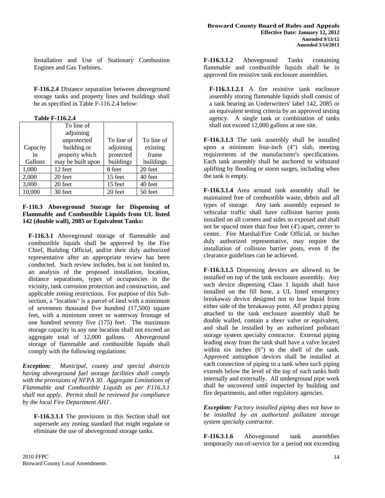Installation and Use of Stationary Combustion Engines and Gas Turbines.

**F-116.2.4** Distance separation between aboveground storage tanks and property lines and buildings shall be as specified in Table F-116.2.4 below:

**Table F-116.2.4** 

|          | To line of        |            |            |
|----------|-------------------|------------|------------|
|          | adjoining         |            |            |
|          | unprotected       | To line of | To line of |
| Capacity | building or       | adjoining  | existing   |
| in       | property which    | protected  | frame      |
| Gallons  | may be built upon | buildings  | buildings  |
| 1,000    | 12 feet           | 8 feet     | 20 feet    |
| 2,000    | 20 feet           | 15 feet    | 40 feet    |
| 3,000    | 20 feet           | 15 feet    | 40 feet    |
| 10,000   | 30 feet           | 20 feet    | 50 feet    |

#### **F-116.3 Aboveground Storage for Dispensing of Flammable and Combustible Liquids from UL listed 142 (double wall), 2085 or Equivalent Tanks:**

**F-116.3.1** Aboveground storage of flammable and combustible liquids shall be approved by the Fire Chief, Building Official, and/or their duly authorized representative after an appropriate review has been conducted. Such review includes, but is not limited to, an analysis of the proposed installation, location, distance separations, types of occupancies in the vicinity, tank corrosion protection and construction, and applicable zoning restrictions. For purpose of this Subsection, a "location" is a parcel of land with a minimum of seventeen thousand five hundred (17,500) square feet, with a minimum street or waterway frontage of one hundred seventy five (175) feet. The maximum storage capacity in any one location shall not exceed an aggregate total of 12,000 gallons. Aboveground storage of flammable and combustible liquids shall comply with the following regulations:

*Exception: Municipal, county and special districts having aboveground fuel storage facilities shall comply with the provisions of NFPA 30. Aggregate Limitations of Flammable and Combustible Liquids as per F116.3.1 shall not apply. Permit shall be reviewed for compliance by the local Fire Department AHJ .* 

**F-116.3.1.1** The provisions in this Section shall not supersede any zoning standard that might regulate or eliminate the use of aboveground storage tanks.

**F-116.3.1.2** Aboveground Tanks containing flammable and combustible liquids shall be in approved fire resistive tank enclosure assemblies.

**F-116.3.1.2.1** A fire resistive tank enclosure assembly storing flammable liquids shall consist of a tank bearing an Underwriters' label 142, 2085 or an equivalent testing criteria by an approved testing agency. A single tank or combination of tanks shall not exceed 12,000 gallons at one site.

**F-116.3.1.3** The tank assembly shall be installed upon a minimum four-inch (4") slab, meeting requirements of the manufacturer's specifications. Each tank assembly shall be anchored to withstand uplifting by flooding or storm surges, including when the tank is empty.

**F-116.3.1.4** Area around tank assembly shall be maintained free of combustible waste, debris and all types of storage. Any tank assembly exposed to vehicular traffic shall have collision barrier posts installed on all corners and sides so exposed and shall not be spaced more than four feet (4') apart, center to center. Fire Marshal/Fire Code Official, or his/her duly authorized representative, may require the installation of collision barrier posts, even if the clearance guidelines can be achieved.

**F-116.3.1.5** Dispensing devices are allowed to be installed on top of the tank enclosure assembly. Any such device dispensing Class 1 liquids shall have installed on the fill hose, a UL listed emergency breakaway device designed not to lose liquid from either side of the breakaway point. All product piping attached to the tank enclosure assembly shall be double walled, contain a sheer valve or equivalent, and shall be installed by an authorized pollutant storage system specialty contractor. External piping leading away from the tank shall have a valve located within six inches (6") to the shell of the tank. Approved antisiphon devices shall be installed at each connection of piping to a tank when such piping extends below the level of the top of such tanks both internally and externally. All underground pipe work shall be uncovered until inspected by building and fire departments, and other regulatory agencies.

*Exception: Factory installed piping does not have to be installed by an authorized pollutant storage system specialty contractor.* 

**F-116.3.1.6** Aboveground tank assemblies temporarily out-of-service for a period not exceeding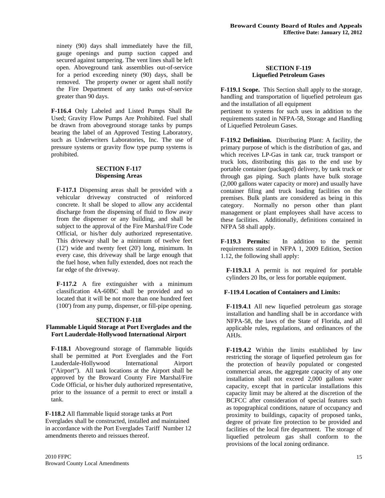ninety (90) days shall immediately have the fill, gauge openings and pump suction capped and secured against tampering. The vent lines shall be left open. Aboveground tank assemblies out-of-service for a period exceeding ninety (90) days, shall be removed. The property owner or agent shall notify the Fire Department of any tanks out-of-service greater than 90 days.

**F-116.4** Only Labeled and Listed Pumps Shall Be Used; Gravity Flow Pumps Are Prohibited. Fuel shall be drawn from aboveground storage tanks by pumps bearing the label of an Approved Testing Laboratory, such as Underwriters Laboratories, Inc. The use of pressure systems or gravity flow type pump systems is prohibited.

#### **SECTION F-117 Dispensing Areas**

**F-117.1** Dispensing areas shall be provided with a vehicular driveway constructed of reinforced concrete. It shall be sloped to allow any accidental discharge from the dispensing of fluid to flow away from the dispenser or any building, and shall be subject to the approval of the Fire Marshal/Fire Code Official, or his/her duly authorized representative. This driveway shall be a minimum of twelve feet (12') wide and twenty feet (20') long, minimum. In every case, this driveway shall be large enough that the fuel hose, when fully extended, does not reach the far edge of the driveway.

**F-117.2** A fire extinguisher with a minimum classification 4A-60BC shall be provided and so located that it will be not more than one hundred feet (100') from any pump, dispenser, or fill-pipe opening.

#### **SECTION F-118**

#### **Flammable Liquid Storage at Port Everglades and the Fort Lauderdale-Hollywood International Airport**

**F-118.1** Aboveground storage of flammable liquids shall be permitted at Port Everglades and the Fort Lauderdale-Hollywood International Airport ("Airport"). All tank locations at the Airport shall be approved by the Broward County Fire Marshal/Fire Code Official, or his/her duly authorized representative, prior to the issuance of a permit to erect or install a tank.

**F-118.2** All flammable liquid storage tanks at Port Everglades shall be constructed, installed and maintained in accordance with the Port Everglades Tariff Number 12 amendments thereto and reissues thereof.

#### **SECTION F-119 Liquefied Petroleum Gases**

**F-119.1 Scope.** This Section shall apply to the storage, handling and transportation of liquefied petroleum gas and the installation of all equipment

pertinent to systems for such uses in addition to the requirements stated in NFPA-58, Storage and Handling of Liquefied Petroleum Gases.

**F-119.2 Definition.** Distributing Plant: A facility, the primary purpose of which is the distribution of gas, and which receives LP-Gas in tank car, truck transport or truck lots, distributing this gas to the end use by portable container (packaged) delivery, by tank truck or through gas piping. Such plants have bulk storage (2,000 gallons water capacity or more) and usually have container filing and truck loading facilities on the premises. Bulk plants are considered as being in this category. Normally no person other than plant management or plant employees shall have access to these facilities. Additionally, definitions contained in NFPA 58 shall apply.

**F-119.3 Permits:** In addition to the permit requirements stated in NFPA 1, 2009 Edition, Section 1.12, the following shall apply:

**F-119.3.1** A permit is not required for portable cylinders 20 lbs, or less for portable equipment.

#### **F-119.4 Location of Containers and Limits:**

**F-119.4.1** All new liquefied petroleum gas storage installation and handling shall be in accordance with NFPA-58, the laws of the State of Florida, and all applicable rules, regulations, and ordinances of the AHJs.

**F-119.4.2** Within the limits established by law restricting the storage of liquefied petroleum gas for the protection of heavily populated or congested commercial areas, the aggregate capacity of any one installation shall not exceed 2,000 gallons water capacity, except that in particular installations this capacity limit may be altered at the discretion of the BCFCC after consideration of special features such as topographical conditions, nature of occupancy and proximity to buildings, capacity of proposed tanks, degree of private fire protection to be provided and facilities of the local fire department. The storage of liquefied petroleum gas shall conform to the provisions of the local zoning ordinance.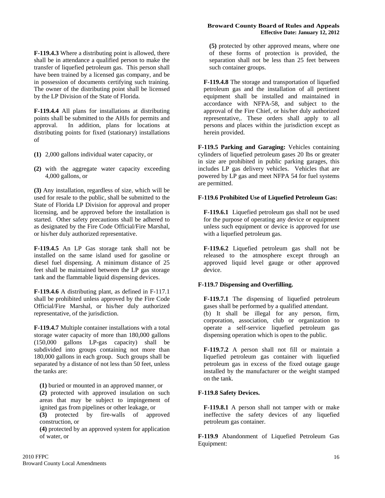**F-119.4.3** Where a distributing point is allowed, there shall be in attendance a qualified person to make the transfer of liquefied petroleum gas. This person shall have been trained by a licensed gas company, and be in possession of documents certifying such training. The owner of the distributing point shall be licensed by the LP Division of the State of Florida.

**F-119.4.4** All plans for installations at distributing points shall be submitted to the AHJs for permits and approval. In addition, plans for locations at distributing points for fixed (stationary) installations of

- **(1)** 2,000 gallons individual water capacity, or
- **(2)** with the aggregate water capacity exceeding 4,000 gallons, or

**(3)** Any installation, regardless of size, which will be used for resale to the public, shall be submitted to the State of Florida LP Division for approval and proper licensing, and be approved before the installation is started. Other safety precautions shall be adhered to as designated by the Fire Code Official/Fire Marshal, or his/her duly authorized representative.

**F-119.4.5** An LP Gas storage tank shall not be installed on the same island used for gasoline or diesel fuel dispensing. A minimum distance of 25 feet shall be maintained between the LP gas storage tank and the flammable liquid dispensing devices.

**F-119.4.6** A distributing plant, as defined in F-117.1 shall be prohibited unless approved by the Fire Code Official/Fire Marshal, or his/her duly authorized representative, of the jurisdiction.

**F-119.4.7** Multiple container installations with a total storage water capacity of more than 180,000 gallons (150,000 gallons LP-gas capacity) shall be subdivided into groups containing not more than 180,000 gallons in each group. Such groups shall be separated by a distance of not less than 50 feet, unless the tanks are:

**(1)** buried or mounted in an approved manner, or **(2)** protected with approved insulation on such areas that may be subject to impingement of ignited gas from pipelines or other leakage, or

**(3)** protected by fire-walls of approved construction, or

**(4)** protected by an approved system for application of water, or

**(5)** protected by other approved means, where one of these forms of protection is provided, the separation shall not be less than 25 feet between such container groups.

**F-119.4.8** The storage and transportation of liquefied petroleum gas and the installation of all pertinent equipment shall be installed and maintained in accordance with NFPA-58, and subject to the approval of the Fire Chief, or his/her duly authorized representative,. These orders shall apply to all persons and places within the jurisdiction except as herein provided.

**F-119.5 Parking and Garaging:** Vehicles containing cylinders of liquefied petroleum gases 20 lbs or greater in size are prohibited in public parking garages, this includes LP gas delivery vehicles. Vehicles that are powered by LP gas and meet NFPA 54 for fuel systems are permitted.

#### **F-119.6 Prohibited Use of Liquefied Petroleum Gas:**

**F-119.6.1** Liquefied petroleum gas shall not be used for the purpose of operating any device or equipment unless such equipment or device is approved for use with a liquefied petroleum gas.

**F-119.6.2** Liquefied petroleum gas shall not be released to the atmosphere except through an approved liquid level gauge or other approved device.

#### **F-119.7 Dispensing and Overfilling.**

**F-119.7.1** The dispensing of liquefied petroleum gases shall be performed by a qualified attendant.

(b) It shall be illegal for any person, firm, corporation, association, club or organization to operate a self-service liquefied petroleum gas dispensing operation which is open to the public.

**F-119.7.2** A person shall not fill or maintain a liquefied petroleum gas container with liquefied petroleum gas in excess of the fixed outage gauge installed by the manufacturer or the weight stamped on the tank.

#### **F-119.8 Safety Devices.**

**F-119.8.1** A person shall not tamper with or make ineffective the safety devices of any liquefied petroleum gas container.

**F-119.9** Abandonment of Liquefied Petroleum Gas Equipment: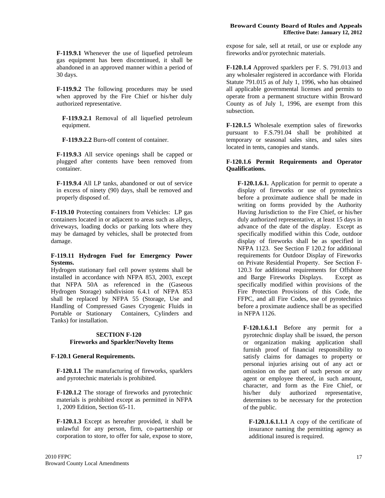**F-119.9.1** Whenever the use of liquefied petroleum gas equipment has been discontinued, it shall be abandoned in an approved manner within a period of 30 days.

**F-119.9.2** The following procedures may be used when approved by the Fire Chief or his/her duly authorized representative.

**F-119.9.2.1** Removal of all liquefied petroleum equipment.

**F-119.9.2.2** Burn-off content of container.

**F-119.9.3** All service openings shall be capped or plugged after contents have been removed from container.

**F-119.9.4** All LP tanks, abandoned or out of service in excess of ninety (90) days, shall be removed and properly disposed of.

**F-119.10** Protecting containers from Vehicles: LP gas containers located in or adjacent to areas such as alleys, driveways, loading docks or parking lots where they may be damaged by vehicles, shall be protected from damage.

#### **F-119.11 Hydrogen Fuel for Emergency Power Systems.**

Hydrogen stationary fuel cell power systems shall be installed in accordance with NFPA 853, 2003, except that NFPA 50A as referenced in the (Gaseous Hydrogen Storage) subdivision 6.4.1 of NFPA 853 shall be replaced by NFPA 55 (Storage, Use and Handling of Compressed Gases Cryogenic Fluids in Portable or Stationary Containers, Cylinders and Tanks) for installation.

#### **SECTION F-120 Fireworks and Sparkler/Novelty Items**

#### **F-120.1 General Requirements.**

**F-120.1.1** The manufacturing of fireworks, sparklers and pyrotechnic materials is prohibited.

**F-120.1.2** The storage of fireworks and pyrotechnic materials is prohibited except as permitted in NFPA 1, 2009 Edition, Section 65-11.

**F-120.1.3** Except as hereafter provided, it shall be unlawful for any person, firm, co-partnership or corporation to store, to offer for sale, expose to store, **F-120.1.4** Approved sparklers per F. S. 791.013 and any wholesaler registered in accordance with Florida Statute 791.015 as of July 1, 1996, who has obtained all applicable governmental licenses and permits to operate from a permanent structure within Broward County as of July 1, 1996, are exempt from this subsection.

**F-120.1.5** Wholesale exemption sales of fireworks pursuant to F.S.791.04 shall be prohibited at temporary or seasonal sales sites, and sales sites located in tents, canopies and stands.

#### **F-120.1.6 Permit Requirements and Operator Qualifications.**

**F-120.1.6.1.** Application for permit to operate a display of fireworks or use of pyrotechnics before a proximate audience shall be made in writing on forms provided by the Authority Having Jurisdiction to the Fire Chief, or his/her duly authorized representative, at least 15 days in advance of the date of the display. Except as specifically modified within this Code, outdoor display of fireworks shall be as specified in NFPA 1123. See Section F 120.2 for additional requirements for Outdoor Display of Fireworks on Private Residential Property. See Section F-120.3 for additional requirements for Offshore and Barge Fireworks Displays. Except as specifically modified within provisions of the Fire Protection Provisions of this Code, the FFPC, and all Fire Codes, use of pyrotechnics before a proximate audience shall be as specified in NFPA 1126.

**F-120.1.6.1.1** Before any permit for a pyrotechnic display shall be issued, the person or organization making application shall furnish proof of financial responsibility to satisfy claims for damages to property or personal injuries arising out of any act or omission on the part of such person or any agent or employee thereof, in such amount, character, and form as the Fire Chief, or his/her duly authorized representative, determines to be necessary for the protection of the public.

**F-120.1.6.1.1.1** A copy of the certificate of insurance naming the permitting agency as additional insured is required.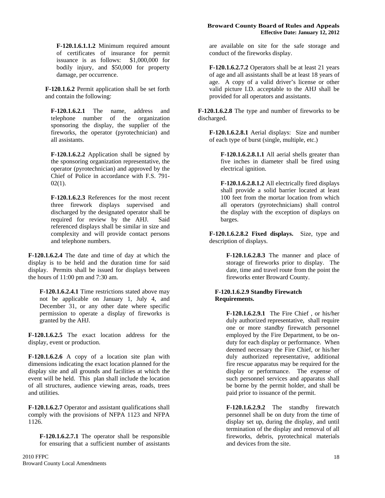**F-120.1.6.1.1.2** Minimum required amount of certificates of insurance for permit issuance is as follows: \$1,000,000 for bodily injury, and \$50,000 for property damage, per occurrence.

**F-120.1.6.2** Permit application shall be set forth and contain the following:

**F-120.1.6.2.1** The name, address and telephone number of the organization sponsoring the display, the supplier of the fireworks, the operator (pyrotechnician) and all assistants.

**F-120.1.6.2.2** Application shall be signed by the sponsoring organization representative, the operator (pyrotechnician) and approved by the Chief of Police in accordance with F.S. 791-  $02(1)$ .

**F-120.1.6.2.3** References for the most recent three firework displays supervised and discharged by the designated operator shall be required for review by the AHJ. Said referenced displays shall be similar in size and complexity and will provide contact persons and telephone numbers.

**F-120.1.6.2.4** The date and time of day at which the display is to be held and the duration time for said display. Permits shall be issued for displays between the hours of 11:00 pm and 7:30 am.

**F-120.1.6.2.4.1** Time restrictions stated above may not be applicable on January 1, July 4, and December 31, or any other date where specific permission to operate a display of fireworks is granted by the AHJ.

**F-120.1.6.2.5** The exact location address for the display, event or production.

**F-120.1.6.2.6** A copy of a location site plan with dimensions indicating the exact location planned for the display site and all grounds and facilities at which the event will be held. This plan shall include the location of all structures, audience viewing areas, roads, trees and utilities.

**F-120.1.6.2.7** Operator and assistant qualifications shall comply with the provisions of NFPA 1123 and NFPA 1126.

**F-120.1.6.2.7.1** The operator shall be responsible for ensuring that a sufficient number of assistants

#### **Broward County Board of Rules and Appeals Effective Date: January 12, 2012**

are available on site for the safe storage and conduct of the fireworks display.

**F-120.1.6.2.7.2** Operators shall be at least 21 years of age and all assistants shall be at least 18 years of age. A copy of a valid driver's license or other valid picture I.D. acceptable to the AHJ shall be provided for all operators and assistants.

**F-120.1.6.2.8** The type and number of fireworks to be discharged.

**F-120.1.6.2.8.1** Aerial displays: Size and number of each type of burst (single, multiple, etc.)

**F-120.1.6.2.8.1.1** All aerial shells greater than five inches in diameter shall be fired using electrical ignition.

**F-120.1.6.2.8.1.2** All electrically fired displays shall provide a solid barrier located at least 100 feet from the mortar location from which all operators (pyrotechnicians) shall control the display with the exception of displays on barges.

**F-120.1.6.2.8.2 Fixed displays.** Size, type and description of displays.

> **F-120.1.6.2.8.3** The manner and place of storage of fireworks prior to display. The date, time and travel route from the point the fireworks enter Broward County.

#### **F-120.1.6.2.9 Standby Firewatch Requirements.**

**F-120.1.6.2.9.1** The Fire Chief , or his/her duly authorized representative, shall require one or more standby firewatch personnel employed by the Fire Department, to be onduty for each display or performance. When deemed necessary the Fire Chief, or his/her duly authorized representative, additional fire rescue apparatus may be required for the display or performance. The expense of such personnel services and apparatus shall be borne by the permit holder, and shall be paid prior to issuance of the permit.

**F-120.1.6.2.9.2** The standby firewatch personnel shall be on duty from the time of display set up, during the display, and until termination of the display and removal of all fireworks, debris, pyrotechnical materials and devices from the site.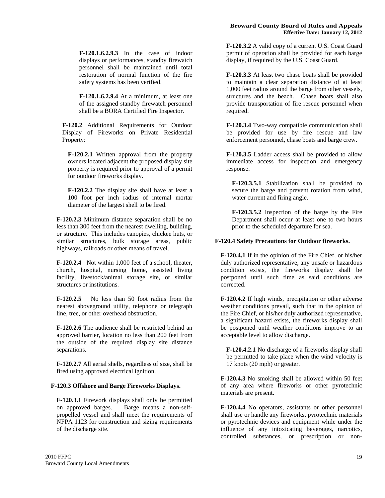**F-120.1.6.2.9.3** In the case of indoor displays or performances, standby firewatch personnel shall be maintained until total restoration of normal function of the fire safety systems has been verified.

**F-120.1.6.2.9.4** At a minimum, at least one of the assigned standby firewatch personnel shall be a BORA Certified Fire Inspector.

**F-120.2** Additional Requirements for Outdoor Display of Fireworks on Private Residential Property:

**F-120.2.1** Written approval from the property owners located adjacent the proposed display site property is required prior to approval of a permit for outdoor fireworks display.

**F-120.2.2** The display site shall have at least a 100 foot per inch radius of internal mortar diameter of the largest shell to be fired.

**F-120.2.3** Minimum distance separation shall be no less than 300 feet from the nearest dwelling, building, or structure. This includes canopies, chickee huts, or similar structures, bulk storage areas, public highways, railroads or other means of travel.

**F-120.2.4** Not within 1,000 feet of a school, theater, church, hospital, nursing home, assisted living facility, livestock/animal storage site, or similar structures or institutions.

**F-120.2.5** No less than 50 foot radius from the nearest aboveground utility, telephone or telegraph line, tree, or other overhead obstruction.

**F-120.2.6** The audience shall be restricted behind an approved barrier, location no less than 200 feet from the outside of the required display site distance separations.

**F-120.2.7** All aerial shells, regardless of size, shall be fired using approved electrical ignition.

#### **F-120.3 Offshore and Barge Fireworks Displays.**

**F-120.3.1** Firework displays shall only be permitted on approved barges. Barge means a non-selfpropelled vessel and shall meet the requirements of NFPA 1123 for construction and sizing requirements of the discharge site.

**F-120.3.2** A valid copy of a current U.S. Coast Guard permit of operation shall be provided for each barge display, if required by the U.S. Coast Guard.

**F-120.3.3** At least two chase boats shall be provided to maintain a clear separation distance of at least 1,000 feet radius around the barge from other vessels, structures and the beach. Chase boats shall also provide transportation of fire rescue personnel when required.

**F-120.3.4** Two-way compatible communication shall be provided for use by fire rescue and law enforcement personnel, chase boats and barge crew.

**F-120.3.5** Ladder access shall be provided to allow immediate access for inspection and emergency response.

**F-120.3.5.1** Stabilization shall be provided to secure the barge and prevent rotation from wind, water current and firing angle.

**F-120.3.5.2** Inspection of the barge by the Fire Department shall occur at least one to two hours prior to the scheduled departure for sea.

#### **F-120.4 Safety Precautions for Outdoor fireworks.**

**F-120.4.1** If in the opinion of the Fire Chief, or his/her duly authorized representative, any unsafe or hazardous condition exists, the fireworks display shall be postponed until such time as said conditions are corrected.

**F-120.4.2** If high winds, precipitation or other adverse weather conditions prevail, such that in the opinion of the Fire Chief, or his/her duly authorized representative, a significant hazard exists, the fireworks display shall be postponed until weather conditions improve to an acceptable level to allow discharge.

**F-120.4.2.1** No discharge of a fireworks display shall be permitted to take place when the wind velocity is 17 knots (20 mph) or greater.

**F-120.4.3** No smoking shall be allowed within 50 feet of any area where fireworks or other pyrotechnic materials are present.

**F-120.4.4** No operators, assistants or other personnel shall use or handle any fireworks, pyrotechnic materials or pyrotechnic devices and equipment while under the influence of any intoxicating beverages, narcotics, controlled substances, or prescription or non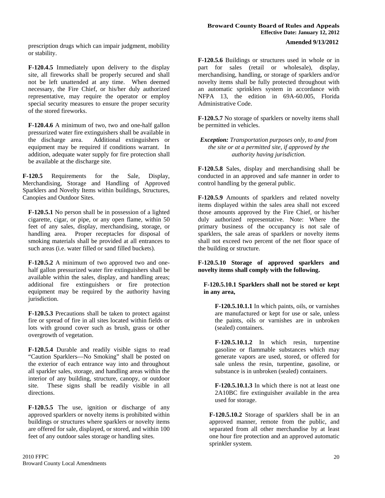prescription drugs which can impair judgment, mobility or stability.

**F-120.4.5** Immediately upon delivery to the display site, all fireworks shall be properly secured and shall not be left unattended at any time. When deemed necessary, the Fire Chief, or his/her duly authorized representative, may require the operator or employ special security measures to ensure the proper security of the stored fireworks.

**F-120.4.6** A minimum of two, two and one-half gallon pressurized water fire extinguishers shall be available in the discharge area. Additional extinguishers or equipment may be required if conditions warrant. In addition, adequate water supply for fire protection shall be available at the discharge site.

**F-120.5** Requirements for the Sale, Display, Merchandising, Storage and Handling of Approved Sparklers and Novelty Items within buildings, Structures, Canopies and Outdoor Sites.

**F-120.5.1** No person shall be in possession of a lighted cigarette, cigar, or pipe, or any open flame, within 50 feet of any sales, display, merchandising, storage, or handling area. Proper receptacles for disposal of smoking materials shall be provided at all entrances to such areas (i.e. water filled or sand filled buckets).

**F-120.5.2** A minimum of two approved two and onehalf gallon pressurized water fire extinguishers shall be available within the sales, display, and handling areas; additional fire extinguishers or fire protection equipment may be required by the authority having jurisdiction.

**F-120.5.3** Precautions shall be taken to protect against fire or spread of fire in all sites located within fields or lots with ground cover such as brush, grass or other overgrowth of vegetation.

**F-120.5.4** Durable and readily visible signs to read "Caution Sparklers—No Smoking" shall be posted on the exterior of each entrance way into and throughout all sparkler sales, storage, and handling areas within the interior of any building, structure, canopy, or outdoor site. These signs shall be readily visible in all directions.

**F-120.5.5** The use, ignition or discharge of any approved sparklers or novelty items is prohibited within buildings or structures where sparklers or novelty items are offered for sale, displayed, or stored, and within 100 feet of any outdoor sales storage or handling sites.

**F-120.5.6** Buildings or structures used in whole or in part for sales (retail or wholesale), display, merchandising, handling, or storage of sparklers and/or novelty items shall be fully protected throughout with an automatic sprinklers system in accordance with NFPA 13, the edition in 69A-60.005, Florida Administrative Code.

**F-120.5.7** No storage of sparklers or novelty items shall be permitted in vehicles.

*Exception: Transportation purposes only, to and from the site or at a permitted site, if approved by the authority having jurisdiction.*

**F-120.5.8** Sales, display and merchandising shall be conducted in an approved and safe manner in order to control handling by the general public.

**F-120.5.9** Amounts of sparklers and related novelty items displayed within the sales area shall not exceed those amounts approved by the Fire Chief, or his/her duly authorized representative. Note: Where the primary business of the occupancy is not sale of sparklers, the sale areas of sparklers or novelty items shall not exceed two percent of the net floor space of the building or structure.

**F-120.5.10 Storage of approved sparklers and novelty items shall comply with the following.** 

**F-120.5.10.1 Sparklers shall not be stored or kept in any area,** 

**F-120.5.10.1.1** In which paints, oils, or varnishes are manufactured or kept for use or sale, unless the paints, oils or varnishes are in unbroken (sealed) containers.

**F-120.5.10.1.2** In which resin, turpentine gasoline or flammable substances which may generate vapors are used, stored, or offered for sale unless the resin, turpentine, gasoline, or substance is in unbroken (sealed) containers.

**F-120.5.10.1.3** In which there is not at least one 2A10BC fire extinguisher available in the area used for storage.

**F-120.5.10.2** Storage of sparklers shall be in an approved manner, remote from the public, and separated from all other merchandise by at least one hour fire protection and an approved automatic sprinkler system.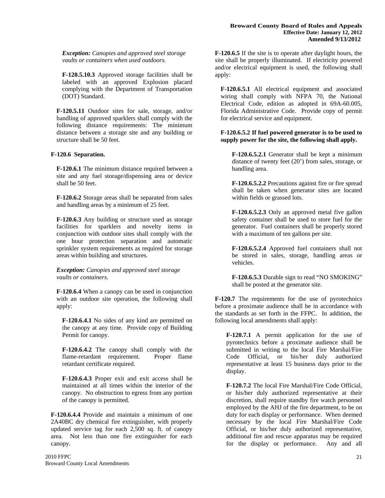*Exception: Canopies and approved steel storage vaults or containers when used outdoors.*

**F-120.5.10.3** Approved storage facilities shall be labeled with an approved Explosion placard complying with the Department of Transportation (DOT) Standard.

**F-120.5.11** Outdoor sites for sale, storage, and/or handling of approved sparklers shall comply with the following distance requirements: The minimum distance between a storage site and any building or structure shall be 50 feet.

#### **F-120.6 Separation.**

**F-120.6.1** The minimum distance required between a site and any fuel storage/dispensing area or device shall be 50 feet.

**F-120.6.2** Storage areas shall be separated from sales and handling areas by a minimum of 25 feet.

**F-120.6.3** Any building or structure used as storage facilities for sparklers and novelty items in conjunction with outdoor sites shall comply with the one hour protection separation and automatic sprinkler system requirements as required for storage areas within building and structures.

*Exception: Canopies and approved steel storage vaults or containers.*

**F-120.6.4** When a canopy can be used in conjunction with an outdoor site operation, the following shall apply:

**F-120.6.4.1** No sides of any kind are permitted on the canopy at any time. Provide copy of Building Permit for canopy.

**F-120.6.4.2** The canopy shall comply with the flame-retardant requirement. Proper flame retardant certificate required.

**F-120.6.4.3** Proper exit and exit access shall be maintained at all times within the interior of the canopy. No obstruction to egress from any portion of the canopy is permitted.

**F-120.6.4.4** Provide and maintain a minimum of one 2A40BC dry chemical fire extinguisher, with properly updated service tag for each 2,500 sq. ft. of canopy area. Not less than one fire extinguisher for each canopy.

**F-120.6.5** If the site is to operate after daylight hours, the site shall be properly illuminated. If electricity powered and/or electrical equipment is used, the following shall apply:

**F-120.6.5.1** All electrical equipment and associated wiring shall comply with NFPA 70, the National Electrical Code, edition as adopted in 69A-60.005, Florida Administrative Code. Provide copy of permit for electrical service and equipment.

#### **F-120.6.5.2 If fuel powered generator is to be used to supply power for the site, the following shall apply.**

**F-120.6.5.2.1** Generator shall be kept a minimum distance of twenty feet (20') from sales, storage, or handling area.

**F-120.6.5.2.2** Precautions against fire or fire spread shall be taken when generator sites are located within fields or grassed lots.

**F-120.6.5.2.3** Only an approved metal five gallon safety container shall be used to store fuel for the generator. Fuel containers shall be properly stored with a maximum of ten gallons per site.

**F-120.6.5.2.4** Approved fuel containers shall not be stored in sales, storage, handling areas or vehicles.

**F-120.6.5.3** Durable sign to read "NO SMOKING" shall be posted at the generator site.

**F-120.7** The requirements for the use of pyrotechnics before a proximate audience shall be in accordance with the standards as set forth in the FFPC. In addition, the following local amendments shall apply:

**F-120.7.1** A permit application for the use of pyrotechnics before a proximate audience shall be submitted in writing to the local Fire Marshal/Fire Code Official, or his/her duly authorized representative at least 15 business days prior to the display.

**F-120.7.2** The local Fire Marshal/Fire Code Official, or his/her duly authorized representative at their discretion, shall require standby fire watch personnel employed by the AHJ of the fire department, to be on duty for each display or performance. When deemed necessary by the local Fire Marshal/Fire Code Official, or his/her duly authorized representative, additional fire and rescue apparatus may be required for the display or performance. Any and all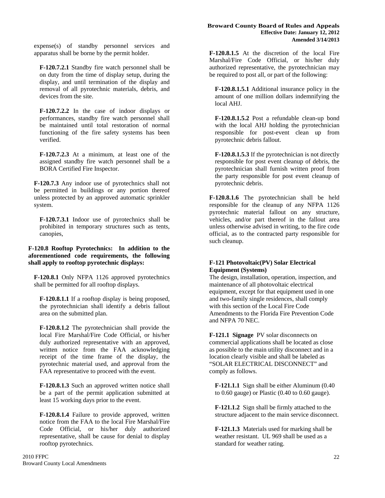expense(s) of standby personnel services and apparatus shall be borne by the permit holder.

**F-120.7.2.1** Standby fire watch personnel shall be on duty from the time of display setup, during the display, and until termination of the display and removal of all pyrotechnic materials, debris, and devices from the site.

**F-120.7.2.2** In the case of indoor displays or performances, standby fire watch personnel shall be maintained until total restoration of normal functioning of the fire safety systems has been verified.

**F-120.7.2.3** At a minimum, at least one of the assigned standby fire watch personnel shall be a BORA Certified Fire Inspector.

**F-120.7.3** Any indoor use of pyrotechnics shall not be permitted in buildings or any portion thereof unless protected by an approved automatic sprinkler system.

**F-120.7.3.1** Indoor use of pyrotechnics shall be prohibited in temporary structures such as tents, canopies,

#### **F-120.8 Rooftop Pyrotechnics: In addition to the aforementioned code requirements, the following shall apply to rooftop pyrotechnic displays:**

**F-120.8.1** Only NFPA 1126 approved pyrotechnics shall be permitted for all rooftop displays.

**F-120.8.1.1** If a rooftop display is being proposed, the pyrotechnician shall identify a debris fallout area on the submitted plan.

**F-120.8.1.2** The pyrotechnician shall provide the local Fire Marshal/Fire Code Official, or his/her duly authorized representative with an approved, written notice from the FAA acknowledging receipt of the time frame of the display, the pyrotechnic material used, and approval from the FAA representative to proceed with the event.

**F-120.8.1.3** Such an approved written notice shall be a part of the permit application submitted at least 15 working days prior to the event.

**F-120.8.1.4** Failure to provide approved, written notice from the FAA to the local Fire Marshal/Fire Code Official, or his/her duly authorized representative, shall be cause for denial to display rooftop pyrotechnics.

**F-120.8.1.5** At the discretion of the local Fire Marshal/Fire Code Official, or his/her duly authorized representative, the pyrotechnician may be required to post all, or part of the following:

**F-120.8.1.5.1** Additional insurance policy in the amount of one million dollars indemnifying the local AHJ.

**F-120.8.1.5.2** Post a refundable clean-up bond with the local AHJ holding the pyrotechnician responsible for post-event clean up from pyrotechnic debris fallout.

**F-120.8.1.5.3** If the pyrotechnician is not directly responsible for post event cleanup of debris, the pyrotechnician shall furnish written proof from the party responsible for post event cleanup of pyrotechnic debris.

**F-120.8.1.6** The pyrotechnician shall be held responsible for the cleanup of any NFPA 1126 pyrotechnic material fallout on any structure, vehicles, and/or part thereof in the fallout area unless otherwise advised in writing, to the fire code official, as to the contracted party responsible for such cleanup.

#### **F-121 Photovoltaic(PV) Solar Electrical Equipment (Systems)**

The design, installation, operation, inspection, and maintenance of all photovoltaic electrical equipment, except for that equipment used in one and two-family single residences, shall comply with this section of the Local Fire Code Amendments to the Florida Fire Prevention Code and NFPA 70 NEC.

**F-121.1 Signage** PV solar disconnects on commercial applications shall be located as close as possible to the main utility disconnect and in a location clearly visible and shall be labeled as "SOLAR ELECTRICAL DISCONNECT" and comply as follows.

**F-121.1.1** Sign shall be either Aluminum (0.40 to 0.60 gauge) or Plastic (0.40 to 0.60 gauge).

**F-121.1.2** Sign shall be firmly attached to the structure adjacent to the main service disconnect.

**F-121.1.3** Materials used for marking shall be weather resistant. UL 969 shall be used as a standard for weather rating.